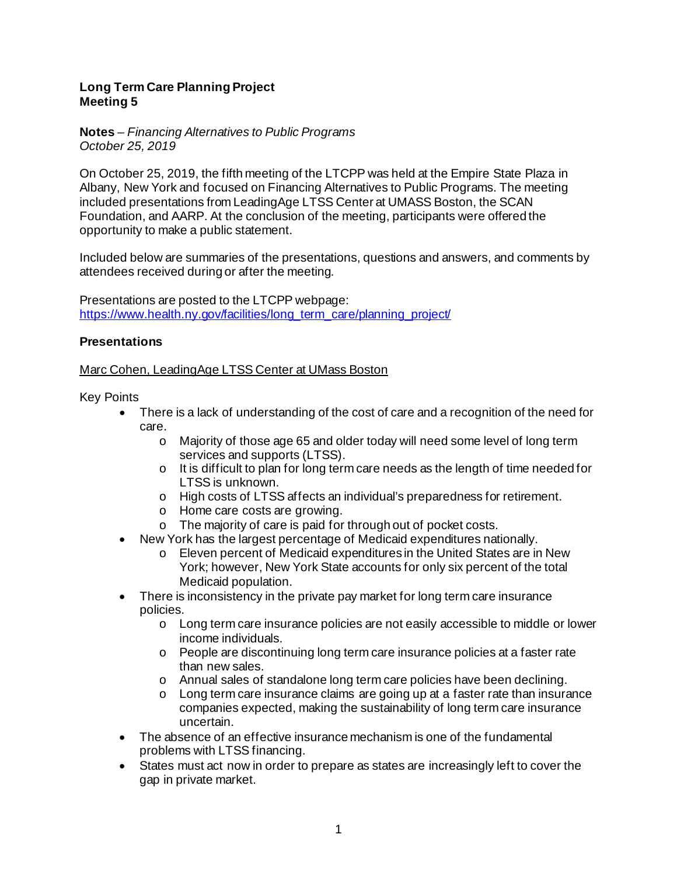# **Long Term Care Planning Project Meeting 5**

**Notes** *– Financing Alternatives to Public Programs October 25, 2019* 

On October 25, 2019, the fifth meeting of the LTCPP was held at the Empire State Plaza in Albany, New York and focused on Financing Alternatives to Public Programs. The meeting included presentations from LeadingAge LTSS Center at UMASS Boston, the SCAN Foundation, and AARP. At the conclusion of the meeting, participants were offered the opportunity to make a public statement.

Included below are summaries of the presentations, questions and answers, and comments by attendees received during or after the meeting.

Presentations are posted to the LTCPP webpage: [https://www.health.ny.gov/facilities/long\\_term\\_care/planning\\_project/](https://www.health.ny.gov/facilities/long_term_care/planning_project/)

# **Presentations**

## Marc Cohen, LeadingAge LTSS Center at UMass Boston

Key Points

- There is a lack of understanding of the cost of care and a recognition of the need for care.
	- o Majority of those age 65 and older today will need some level of long term services and supports (LTSS).
	- o It is difficult to plan for long term care needs as the length of time needed for LTSS is unknown.
	- o High costs of LTSS affects an individual's preparedness for retirement.
	- o Home care costs are growing.
	- o The majority of care is paid for through out of pocket costs.
- New York has the largest percentage of Medicaid expenditures nationally.
	- o Eleven percent of Medicaid expenditures in the United States are in New York; however, New York State accounts for only six percent of the total Medicaid population.
- There is inconsistency in the private pay market for long term care insurance policies.
	- o Long term care insurance policies are not easily accessible to middle or lower income individuals.
	- $\circ$  People are discontinuing long term care insurance policies at a faster rate than new sales.
	- o Annual sales of standalone long term care policies have been declining.
	- o Long term care insurance claims are going up at a faster rate than insurance companies expected, making the sustainability of long term care insurance uncertain.
- The absence of an effective insurance mechanism is one of the fundamental problems with LTSS financing.
- States must act now in order to prepare as states are increasingly left to cover the gap in private market.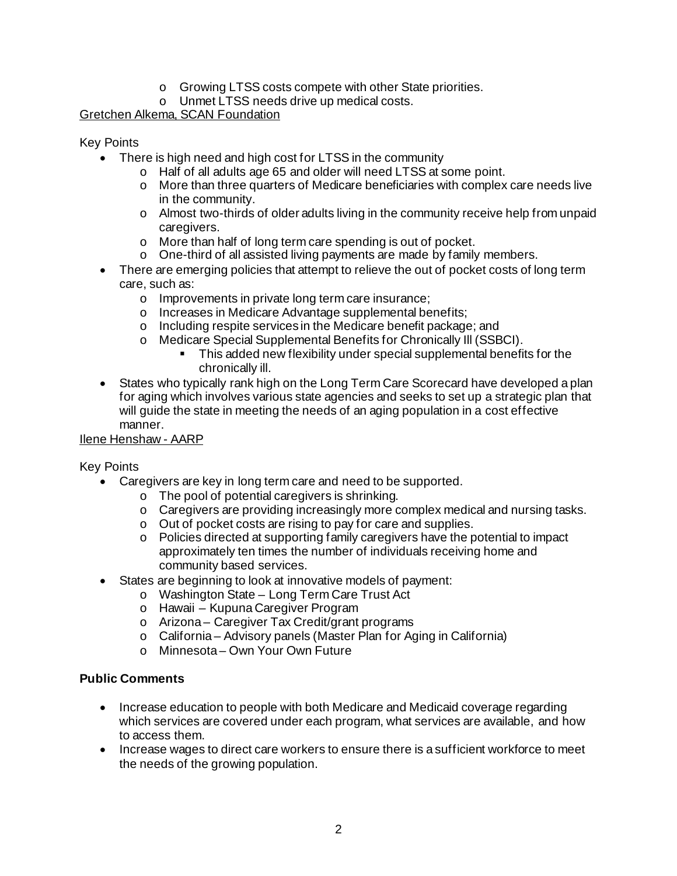- o Growing LTSS costs compete with other State priorities.
- o Unmet LTSS needs drive up medical costs.

# Gretchen Alkema, SCAN Foundation

## Key Points

- There is high need and high cost for LTSS in the community
	- o Half of all adults age 65 and older will need LTSS at some point.
	- $\circ$  More than three quarters of Medicare beneficiaries with complex care needs live in the community.
	- $\circ$  Almost two-thirds of older adults living in the community receive help from unpaid caregivers.
	- o More than half of long term care spending is out of pocket.
	- o One-third of all assisted living payments are made by family members.
- There are emerging policies that attempt to relieve the out of pocket costs of long term care, such as:
	- o Improvements in private long term care insurance;
	- o Increases in Medicare Advantage supplemental benefits;
	- o Including respite services in the Medicare benefit package; and
	- o Medicare Special Supplemental Benefits for Chronically Ill (SSBCI).
		- This added new flexibility under special supplemental benefits for the chronically ill.
- States who typically rank high on the Long Term Care Scorecard have developed a plan for aging which involves various state agencies and seeks to set up a strategic plan that will guide the state in meeting the needs of an aging population in a cost effective manner.

## Ilene Henshaw - AARP

## Key Points

- Caregivers are key in long term care and need to be supported.
	- o The pool of potential caregivers is shrinking.
	- $\circ$  Caregivers are providing increasingly more complex medical and nursing tasks.
	- o Out of pocket costs are rising to pay for care and supplies.
	- o Policies directed at supporting family caregivers have the potential to impact approximately ten times the number of individuals receiving home and community based services.
- States are beginning to look at innovative models of payment:
	- o Washington State Long Term Care Trust Act
		- o Hawaii Kupuna Caregiver Program
		- o Arizona Caregiver Tax Credit/grant programs
	- o California Advisory panels (Master Plan for Aging in California)
	- o Minnesota Own Your Own Future

## **Public Comments**

- Increase education to people with both Medicare and Medicaid coverage regarding which services are covered under each program, what services are available, and how to access them.
- Increase wages to direct care workers to ensure there is a sufficient workforce to meet the needs of the growing population.